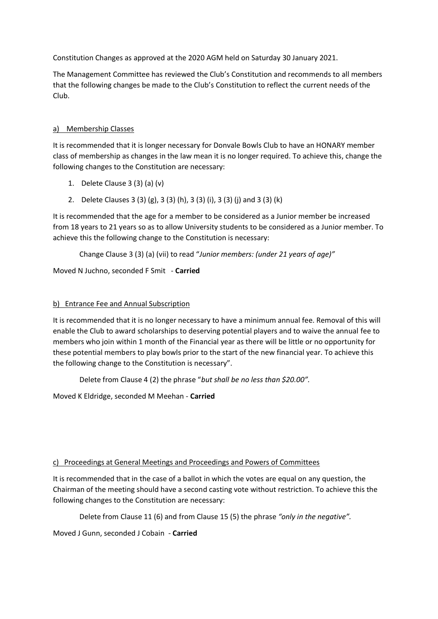Constitution Changes as approved at the 2020 AGM held on Saturday 30 January 2021.

The Management Committee has reviewed the Club's Constitution and recommends to all members that the following changes be made to the Club's Constitution to reflect the current needs of the Club.

## a) Membership Classes

It is recommended that it is longer necessary for Donvale Bowls Club to have an HONARY member class of membership as changes in the law mean it is no longer required. To achieve this, change the following changes to the Constitution are necessary:

- 1. Delete Clause 3 (3) (a) (v)
- 2. Delete Clauses 3 (3) (g), 3 (3) (h), 3 (3) (i), 3 (3) (j) and 3 (3) (k)

It is recommended that the age for a member to be considered as a Junior member be increased from 18 years to 21 years so as to allow University students to be considered as a Junior member. To achieve this the following change to the Constitution is necessary:

Change Clause 3 (3) (a) (vii) to read "*Junior members: (under 21 years of age)"*

Moved N Juchno, seconded F Smit - **Carried**

## b) Entrance Fee and Annual Subscription

It is recommended that it is no longer necessary to have a minimum annual fee. Removal of this will enable the Club to award scholarships to deserving potential players and to waive the annual fee to members who join within 1 month of the Financial year as there will be little or no opportunity for these potential members to play bowls prior to the start of the new financial year. To achieve this the following change to the Constitution is necessary".

Delete from Clause 4 (2) the phrase "*but shall be no less than \$20.00".* 

Moved K Eldridge, seconded M Meehan - **Carried**

## c) Proceedings at General Meetings and Proceedings and Powers of Committees

It is recommended that in the case of a ballot in which the votes are equal on any question, the Chairman of the meeting should have a second casting vote without restriction. To achieve this the following changes to the Constitution are necessary:

Delete from Clause 11 (6) and from Clause 15 (5) the phrase *"only in the negative".*

Moved J Gunn, seconded J Cobain - **Carried**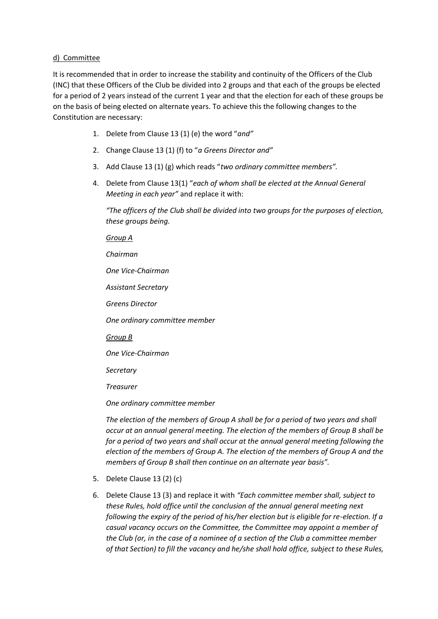## d) Committee

It is recommended that in order to increase the stability and continuity of the Officers of the Club (INC) that these Officers of the Club be divided into 2 groups and that each of the groups be elected for a period of 2 years instead of the current 1 year and that the election for each of these groups be on the basis of being elected on alternate years. To achieve this the following changes to the Constitution are necessary:

- 1. Delete from Clause 13 (1) (e) the word "*and"*
- 2. Change Clause 13 (1) (f) to "*a Greens Director and"*
- 3. Add Clause 13 (1) (g) which reads "*two ordinary committee members".*
- 4. Delete from Clause 13(1) "*each of whom shall be elected at the Annual General Meeting in each year"* and replace it with:

*"The officers of the Club shall be divided into two groups for the purposes of election, these groups being.*

*Group A*

*Chairman*

*One Vice-Chairman*

*Assistant Secretary*

*Greens Director*

*One ordinary committee member*

*Group B*

*One Vice-Chairman*

*Secretary*

*Treasurer*

*One ordinary committee member*

*The election of the members of Group A shall be for a period of two years and shall occur at an annual general meeting. The election of the members of Group B shall be for a period of two years and shall occur at the annual general meeting following the election of the members of Group A. The election of the members of Group A and the members of Group B shall then continue on an alternate year basis".*

- 5. Delete Clause 13 (2) (c)
- 6. Delete Clause 13 (3) and replace it with *"Each committee member shall, subject to these Rules, hold office until the conclusion of the annual general meeting next following the expiry of the period of his/her election but is eligible for re-election. If a casual vacancy occurs on the Committee, the Committee may appoint a member of the Club (or, in the case of a nominee of a section of the Club a committee member of that Section) to fill the vacancy and he/she shall hold office, subject to these Rules,*